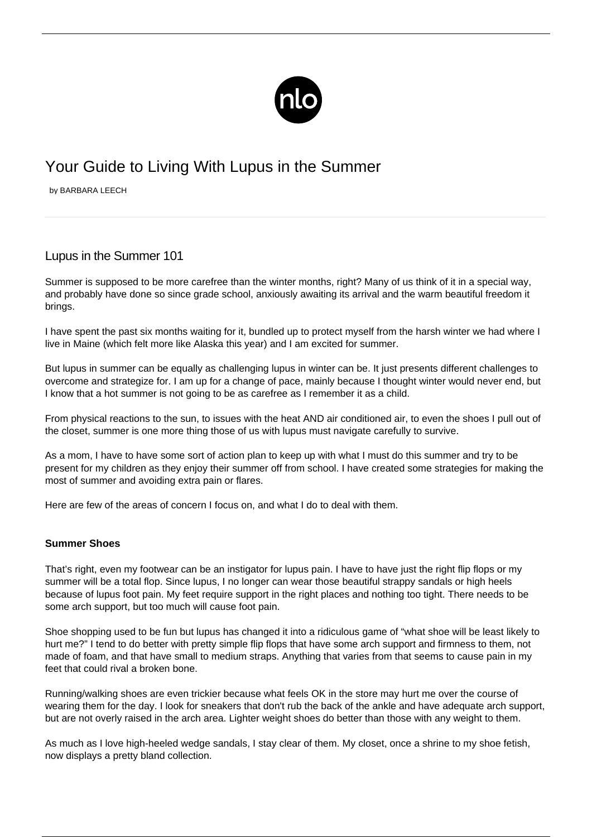

# Your Guide to Living With Lupus in the Summer

by BARBARA LEECH

## Lupus in the Summer 101

Summer is supposed to be more carefree than the winter months, right? Many of us think of it in a special way, and probably have done so since grade school, anxiously awaiting its arrival and the warm beautiful freedom it brings.

I have spent the past six months waiting for it, bundled up to protect myself from the harsh winter we had where I live in Maine (which felt more like Alaska this year) and I am excited for summer.

But lupus in summer can be equally as challenging lupus in winter can be. It just presents different challenges to overcome and strategize for. I am up for a change of pace, mainly because I thought winter would never end, but I know that a hot summer is not going to be as carefree as I remember it as a child.

From physical reactions to the sun, to issues with the heat AND air conditioned air, to even the shoes I pull out of the closet, summer is one more thing those of us with lupus must navigate carefully to survive.

As a mom, I have to have some sort of action plan to keep up with what I must do this summer and try to be present for my children as they enjoy their summer off from school. I have created some strategies for making the most of summer and avoiding extra pain or flares.

Here are few of the areas of concern I focus on, and what I do to deal with them.

### **Summer Shoes**

That's right, even my footwear can be an instigator for lupus pain. I have to have just the right flip flops or my summer will be a total flop. Since lupus, I no longer can wear those beautiful strappy sandals or high heels because of [lupus foot pain](/lupus-heel-pain/). My feet require support in the right places and nothing too tight. There needs to be some arch support, but too much will cause foot pain.

Shoe shopping used to be fun but lupus has changed it into a ridiculous game of "what shoe will be least likely to hurt me?" I tend to do better with pretty simple flip flops that have some arch support and firmness to them, not made of foam, and that have small to medium straps. Anything that varies from that seems to cause pain in my feet that could rival a broken bone.

Running/walking shoes are even trickier because what feels OK in the store may hurt me over the course of wearing them for the day. I look for sneakers that don't rub the back of the ankle and have adequate arch support, but are not overly raised in the arch area. Lighter weight shoes do better than those with any weight to them.

As much as I love high-heeled wedge sandals, I stay clear of them. My closet, once a shrine to my shoe fetish, now displays a pretty bland collection.